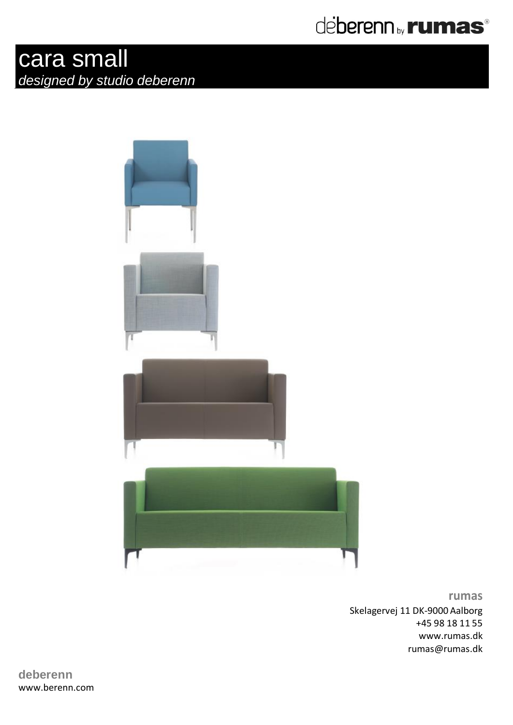## deberenn by **rumas**®

## cara small *designed by studio deberenn*



**rumas** Skelagervej 11 DK-9000 Aalborg +45 98 18 11 55 www.rumas.dk rumas@rumas.dk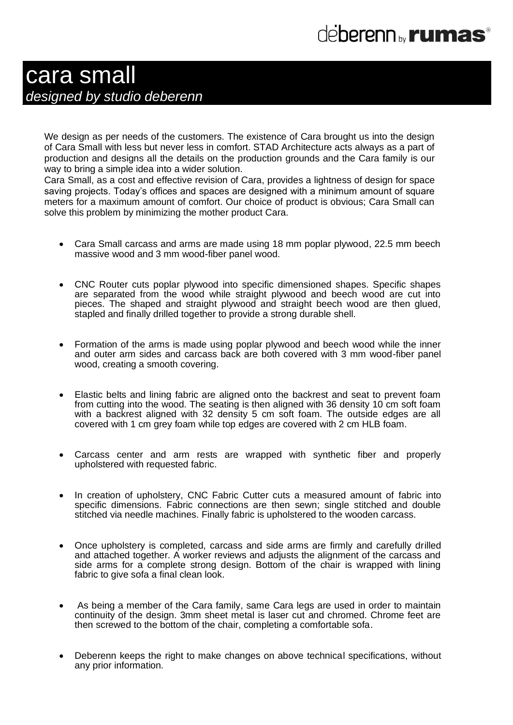

## cara small *designed by studio deberenn*

We design as per needs of the customers. The existence of Cara brought us into the design of Cara Small with less but never less in comfort. STAD Architecture acts always as a part of production and designs all the details on the production grounds and the Cara family is our way to bring a simple idea into a wider solution.

Cara Small, as a cost and effective revision of Cara, provides a lightness of design for space saving projects. Today's offices and spaces are designed with a minimum amount of square meters for a maximum amount of comfort. Our choice of product is obvious; Cara Small can solve this problem by minimizing the mother product Cara.

- Cara Small carcass and arms are made using 18 mm poplar plywood, 22.5 mm beech massive wood and 3 mm wood-fiber panel wood.
- CNC Router cuts poplar plywood into specific dimensioned shapes. Specific shapes are separated from the wood while straight plywood and beech wood are cut into pieces. The shaped and straight plywood and straight beech wood are then glued, stapled and finally drilled together to provide a strong durable shell.
- Formation of the arms is made using poplar plywood and beech wood while the inner and outer arm sides and carcass back are both covered with 3 mm wood-fiber panel wood, creating a smooth covering.
- Elastic belts and lining fabric are aligned onto the backrest and seat to prevent foam from cutting into the wood. The seating is then aligned with 36 density 10 cm soft foam with a backrest aligned with 32 density 5 cm soft foam. The outside edges are all covered with 1 cm grey foam while top edges are covered with 2 cm HLB foam.
- Carcass center and arm rests are wrapped with synthetic fiber and properly upholstered with requested fabric.
- In creation of upholstery, CNC Fabric Cutter cuts a measured amount of fabric into specific dimensions. Fabric connections are then sewn; single stitched and double stitched via needle machines. Finally fabric is upholstered to the wooden carcass.
- Once upholstery is completed, carcass and side arms are firmly and carefully drilled and attached together. A worker reviews and adjusts the alignment of the carcass and side arms for a complete strong design. Bottom of the chair is wrapped with lining fabric to give sofa a final clean look.
- As being a member of the Cara family, same Cara legs are used in order to maintain continuity of the design. 3mm sheet metal is laser cut and chromed. Chrome feet are then screwed to the bottom of the chair, completing a comfortable sofa.
- Deberenn keeps the right to make changes on above technical specifications, without any prior information.